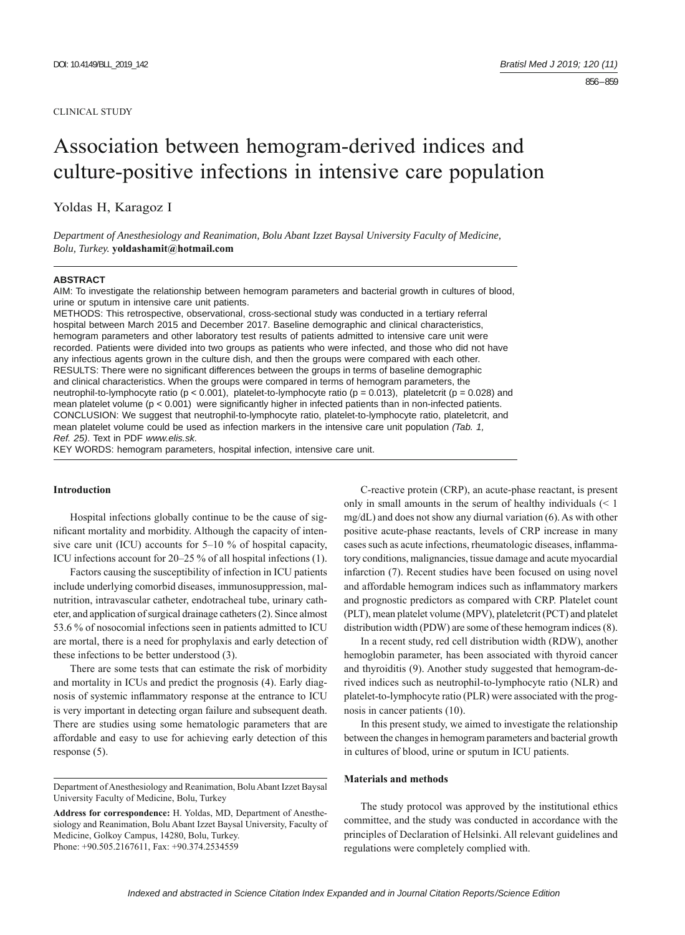### CLINICAL STUDY

# Association between hemogram-derived indices and culture-positive infections in intensive care population

Yoldas H, Karagoz I

*Department of Anesthesiology and Reanimation, Bolu Abant Izzet Baysal University Faculty of Medicine, Bolu, Turkey.* **yoldashamit@hotmail.com**

#### **ABSTRACT**

AIM: To investigate the relationship between hemogram parameters and bacterial growth in cultures of blood, urine or sputum in intensive care unit patients.

METHODS: This retrospective, observational, cross-sectional study was conducted in a tertiary referral hospital between March 2015 and December 2017. Baseline demographic and clinical characteristics, hemogram parameters and other laboratory test results of patients admitted to intensive care unit were recorded. Patients were divided into two groups as patients who were infected, and those who did not have any infectious agents grown in the culture dish, and then the groups were compared with each other. RESULTS: There were no significant differences between the groups in terms of baseline demographic and clinical characteristics. When the groups were compared in terms of hemogram parameters, the neutrophil-to-lymphocyte ratio (p < 0.001), platelet-to-lymphocyte ratio (p = 0.013), plateletcrit (p = 0.028) and mean platelet volume  $(p < 0.001)$  were significantly higher in infected patients than in non-infected patients. CONCLUSION: We suggest that neutrophil-to-lymphocyte ratio, platelet-to-lymphocyte ratio, plateletcrit, and mean platelet volume could be used as infection markers in the intensive care unit population *(Tab. 1, Ref. 25)*. Text in PDF *www.elis.sk.*

KEY WORDS: hemogram parameters, hospital infection, intensive care unit.

## **Introduction**

Hospital infections globally continue to be the cause of significant mortality and morbidity. Although the capacity of intensive care unit (ICU) accounts for  $5-10\%$  of hospital capacity, ICU infections account for 20‒25 % of all hospital infections (1).

Factors causing the susceptibility of infection in ICU patients include underlying comorbid diseases, immunosuppression, malnutrition, intravascular catheter, endotracheal tube, urinary catheter, and application of surgical drainage catheters (2). Since almost 53.6 % of nosocomial infections seen in patients admitted to ICU are mortal, there is a need for prophylaxis and early detection of these infections to be better understood (3).

There are some tests that can estimate the risk of morbidity and mortality in ICUs and predict the prognosis (4). Early diagnosis of systemic inflammatory response at the entrance to ICU is very important in detecting organ failure and subsequent death. There are studies using some hematologic parameters that are affordable and easy to use for achieving early detection of this response (5).

C-reactive protein (CRP), an acute-phase reactant, is present only in small amounts in the serum of healthy individuals (< 1 mg/dL) and does not show any diurnal variation (6). As with other positive acute-phase reactants, levels of CRP increase in many cases such as acute infections, rheumatologic diseases, inflammatory conditions, malignancies, tissue damage and acute myocardial infarction (7). Recent studies have been focused on using novel and affordable hemogram indices such as inflammatory markers and prognostic predictors as compared with CRP. Platelet count (PLT), mean platelet volume (MPV), plateletcrit (PCT) and platelet distribution width (PDW) are some of these hemogram indices (8).

In a recent study, red cell distribution width (RDW), another hemoglobin parameter, has been associated with thyroid cancer and thyroiditis (9). Another study suggested that hemogram-derived indices such as neutrophil-to-lymphocyte ratio (NLR) and platelet-to-lymphocyte ratio (PLR) were associated with the prognosis in cancer patients (10).

In this present study, we aimed to investigate the relationship between the changes in hemogram parameters and bacterial growth in cultures of blood, urine or sputum in ICU patients.

### **Materials and methods**

The study protocol was approved by the institutional ethics committee, and the study was conducted in accordance with the principles of Declaration of Helsinki. All relevant guidelines and regulations were completely complied with.

Department of Anesthesiology and Reanimation, Bolu Abant Izzet Baysal University Faculty of Medicine, Bolu, Turkey

**Address for correspondence:** H. Yoldas, MD, Department of Anesthesiology and Reanimation, Bolu Abant Izzet Baysal University, Faculty of Medicine, Golkoy Campus, 14280, Bolu, Turkey. Phone: +90.505.2167611, Fax: +90.374.2534559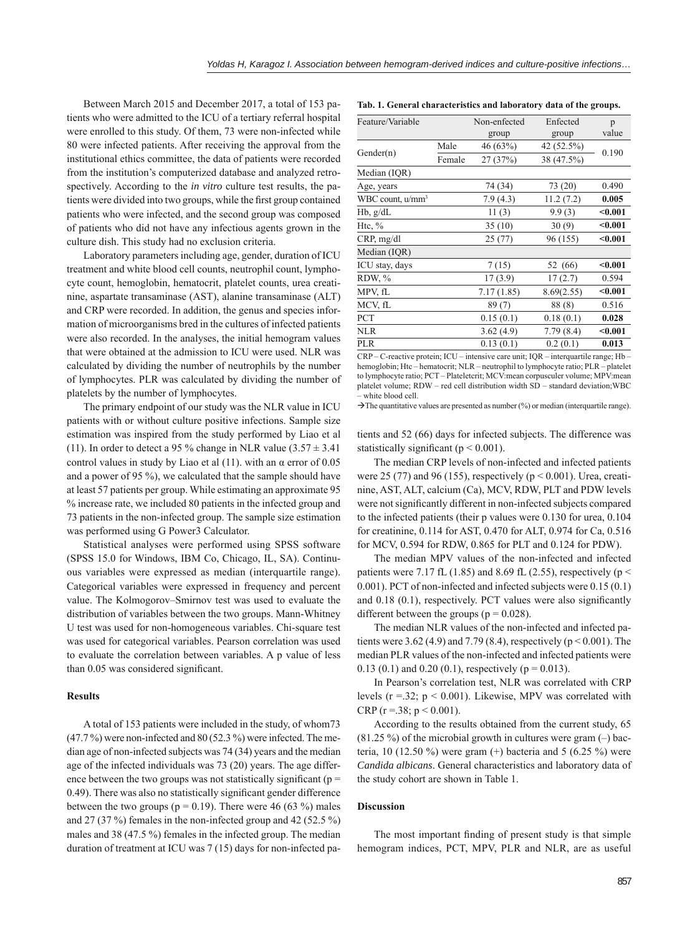Between March 2015 and December 2017, a total of 153 patients who were admitted to the ICU of a tertiary referral hospital were enrolled to this study. Of them, 73 were non-infected while 80 were infected patients. After receiving the approval from the institutional ethics committee, the data of patients were recorded from the institution's computerized database and analyzed retrospectively. According to the *in vitro* culture test results, the patients were divided into two groups, while the first group contained patients who were infected, and the second group was composed of patients who did not have any infectious agents grown in the culture dish. This study had no exclusion criteria.

Laboratory parameters including age, gender, duration of ICU treatment and white blood cell counts, neutrophil count, lymphocyte count, hemoglobin, hematocrit, platelet counts, urea creatinine, aspartate transaminase (AST), alanine transaminase (ALT) and CRP were recorded. In addition, the genus and species information of microorganisms bred in the cultures of infected patients were also recorded. In the analyses, the initial hemogram values that were obtained at the admission to ICU were used. NLR was calculated by dividing the number of neutrophils by the number of lymphocytes. PLR was calculated by dividing the number of platelets by the number of lymphocytes.

The primary endpoint of our study was the NLR value in ICU patients with or without culture positive infections. Sample size estimation was inspired from the study performed by Liao et al (11). In order to detect a 95 % change in NLR value  $(3.57 \pm 3.41)$ control values in study by Liao et al  $(11)$ . with an  $\alpha$  error of 0.05 and a power of 95 %), we calculated that the sample should have at least 57 patients per group. While estimating an approximate 95 % increase rate, we included 80 patients in the infected group and 73 patients in the non-infected group. The sample size estimation was performed using G Power3 Calculator.

Statistical analyses were performed using SPSS software (SPSS 15.0 for Windows, IBM Co, Chicago, IL, SA). Continuous variables were expressed as median (interquartile range). Categorical variables were expressed in frequency and percent value. The Kolmogorov–Smirnov test was used to evaluate the distribution of variables between the two groups. Mann-Whitney U test was used for non-homogeneous variables. Chi-square test was used for categorical variables. Pearson correlation was used to evaluate the correlation between variables. A p value of less than 0.05 was considered significant.

#### **Results**

A total of 153 patients were included in the study, of whom73  $(47.7\%)$  were non-infected and 80 (52.3%) were infected. The median age of non-infected subjects was 74 (34) years and the median age of the infected individuals was 73 (20) years. The age difference between the two groups was not statistically significant ( $p =$ 0.49). There was also no statistically significant gender difference between the two groups ( $p = 0.19$ ). There were 46 (63 %) males and 27 (37 %) females in the non-infected group and 42 (52.5 %) males and 38 (47.5 %) females in the infected group. The median duration of treatment at ICU was 7 (15) days for non-infected pa-

**Tab. 1. General characteristics and laboratory data of the groups.**

| Feature/Variable             |        | Non-enfected | Enfected   | p       |
|------------------------------|--------|--------------|------------|---------|
|                              |        | group        | group      | value   |
| Gender(n)                    | Male   | 46 (63%)     | 42 (52.5%) | 0.190   |
|                              | Female | 27 (37%)     | 38 (47.5%) |         |
| Median (IQR)                 |        |              |            |         |
| Age, years                   |        | 74 (34)      | 73 (20)    | 0.490   |
| WBC count, u/mm <sup>3</sup> |        | 7.9(4.3)     | 11.2(7.2)  | 0.005   |
| $Hb$ , $g/dL$                |        | 11(3)        | 9.9(3)     | $0.001$ |
| Htc, $\%$                    |        | 35(10)       | 30(9)      | < 0.001 |
| CRP, mg/dl                   |        | 25(77)       | 96 (155)   | < 0.001 |
| Median (IQR)                 |        |              |            |         |
| ICU stay, days               |        | 7(15)        | 52 (66)    | $0.001$ |
| RDW, %                       |        | 17(3.9)      | 17(2.7)    | 0.594   |
| MPV, fL                      |        | 7.17(1.85)   | 8.69(2.55) | < 0.001 |
| MCV, fL                      |        | 89(7)        | 88(8)      | 0.516   |
| PCT                          |        | 0.15(0.1)    | 0.18(0.1)  | 0.028   |
| <b>NLR</b>                   |        | 3.62(4.9)    | 7.79(8.4)  | < 0.001 |
| <b>PLR</b>                   |        | 0.13(0.1)    | 0.2(0.1)   | 0.013   |
|                              |        |              |            |         |

CRP – C-reactive protein; ICU – intensive care unit; IQR – interquartile range; Hb – hemoglobin; Htc – hematocrit; NLR – neutrophil to lymphocyte ratio; PLR – platelet to lymphocyte ratio; PCT - Plateletcrit; MCV:mean corpusculer volume; MPV:mean platelet volume; RDW - red cell distribution width SD - standard deviation; WBC ‒ white blood cell.

 $\rightarrow$  The quantitative values are presented as number (%) or median (interquartile range).

tients and 52 (66) days for infected subjects. The difference was statistically significant ( $p < 0.001$ ).

The median CRP levels of non-infected and infected patients were 25 (77) and 96 (155), respectively ( $p < 0.001$ ). Urea, creatinine, AST, ALT, calcium (Ca), MCV, RDW, PLT and PDW levels were not significantly different in non-infected subjects compared to the infected patients (their p values were 0.130 for urea, 0.104 for creatinine, 0.114 for AST, 0.470 for ALT, 0.974 for Ca, 0.516 for MCV, 0.594 for RDW, 0.865 for PLT and 0.124 for PDW).

The median MPV values of the non-infected and infected patients were 7.17 fL (1.85) and 8.69 fL (2.55), respectively ( $p <$ 0 .001). PCT of non-infected and infected subjects were 0.15 (0.1) and  $0.18$   $(0.1)$ , respectively. PCT values were also significantly different between the groups ( $p = 0.028$ ).

The median NLR values of the non-infected and infected patients were 3.62 (4.9) and 7.79 (8.4), respectively ( $p < 0.001$ ). The median PLR values of the non-infected and infected patients were 0.13 (0.1) and 0.20 (0.1), respectively ( $p = 0.013$ ).

In Pearson's correlation test, NLR was correlated with CRP levels ( $r = 0.32$ ;  $p < 0.001$ ). Likewise, MPV was correlated with CRP ( $r = 0.38$ ;  $p < 0.001$ ).

According to the results obtained from the current study, 65  $(81.25\%)$  of the microbial growth in cultures were gram  $(-)$  bacteria, 10 (12.50 %) were gram  $(+)$  bacteria and 5 (6.25 %) were *Candida albicans*. General characteristics and laboratory data of the study cohort are shown in Table 1.

## **Discussion**

The most important finding of present study is that simple hemogram indices, PCT, MPV, PLR and NLR, are as useful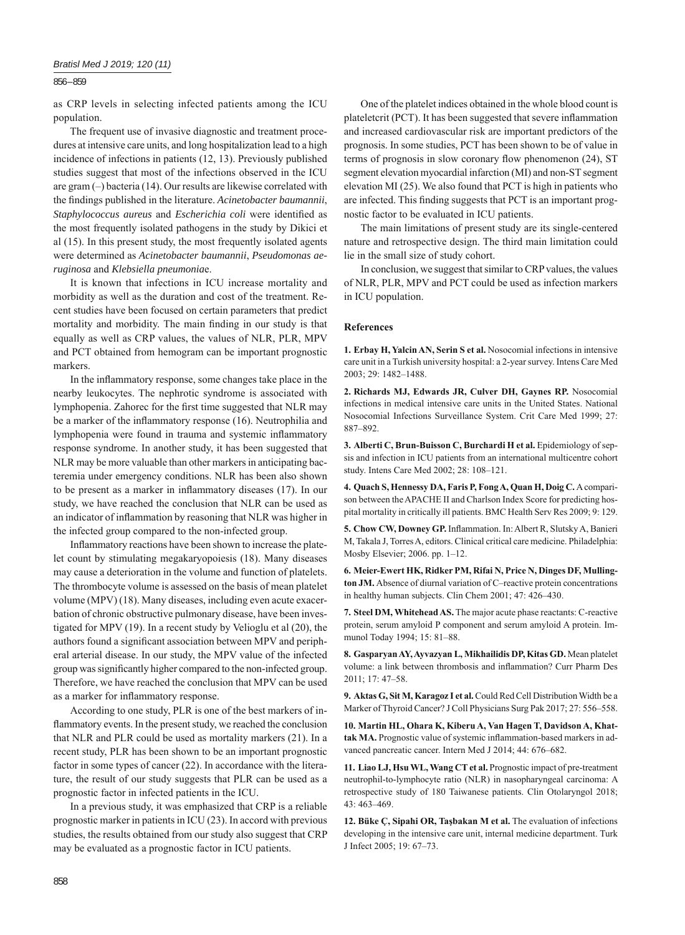## 856 – 859

as CRP levels in selecting infected patients among the ICU population.

The frequent use of invasive diagnostic and treatment procedures at intensive care units, and long hospitalization lead to a high incidence of infections in patients (12, 13). Previously published studies suggest that most of the infections observed in the ICU are gram  $(-)$  bacteria (14). Our results are likewise correlated with the findings published in the literature. *Acinetobacter baumannii*, *Staphylococcus aureus* and *Escherichia coli* were identified as the most frequently isolated pathogens in the study by Dikici et al (15). In this present study, the most frequently isolated agents were determined as *Acinetobacter baumannii*, *Pseudomonas aeruginosa* and *Klebsiella pneumonia*e.

It is known that infections in ICU increase mortality and morbidity as well as the duration and cost of the treatment. Recent studies have been focused on certain parameters that predict mortality and morbidity. The main finding in our study is that equally as well as CRP values, the values of NLR, PLR, MPV and PCT obtained from hemogram can be important prognostic markers.

In the inflammatory response, some changes take place in the nearby leukocytes. The nephrotic syndrome is associated with lymphopenia. Zahorec for the first time suggested that NLR may be a marker of the inflammatory response (16). Neutrophilia and lymphopenia were found in trauma and systemic inflammatory response syndrome. In another study, it has been suggested that NLR may be more valuable than other markers in anticipating bacteremia under emergency conditions. NLR has been also shown to be present as a marker in inflammatory diseases  $(17)$ . In our study, we have reached the conclusion that NLR can be used as an indicator of inflammation by reasoning that NLR was higher in the infected group compared to the non-infected group.

Inflammatory reactions have been shown to increase the platelet count by stimulating megakaryopoiesis (18). Many diseases may cause a deterioration in the volume and function of platelets. The thrombocyte volume is assessed on the basis of mean platelet volume (MPV) (18). Many diseases, including even acute exacerbation of chronic obstructive pulmonary disease, have been investigated for MPV (19). In a recent study by Velioglu et al (20), the authors found a significant association between MPV and peripheral arterial disease. In our study, the MPV value of the infected group was significantly higher compared to the non-infected group. Therefore, we have reached the conclusion that MPV can be used as a marker for inflammatory response.

According to one study, PLR is one of the best markers of inflammatory events. In the present study, we reached the conclusion that NLR and PLR could be used as mortality markers (21). In a recent study, PLR has been shown to be an important prognostic factor in some types of cancer (22). In accordance with the literature, the result of our study suggests that PLR can be used as a prognostic factor in infected patients in the ICU.

In a previous study, it was emphasized that CRP is a reliable prognostic marker in patients in ICU (23). In accord with previous studies, the results obtained from our study also suggest that CRP may be evaluated as a prognostic factor in ICU patients.

One of the platelet indices obtained in the whole blood count is plateletcrit (PCT). It has been suggested that severe inflammation and increased cardiovascular risk are important predictors of the prognosis. In some studies, PCT has been shown to be of value in terms of prognosis in slow coronary flow phenomenon  $(24)$ , ST segment elevation myocardial infarction (MI) and non-ST segment elevation MI (25). We also found that PCT is high in patients who are infected. This finding suggests that PCT is an important prognostic factor to be evaluated in ICU patients.

The main limitations of present study are its single-centered nature and retrospective design. The third main limitation could lie in the small size of study cohort.

In conclusion, we suggest that similar to CRP values, the values of NLR, PLR, MPV and PCT could be used as infection markers in ICU population.

#### **References**

**1. Erbay H, Yalcin AN, Serin S et al.** Nosocomial infections in intensive care unit in a Turkish university hospital: a 2-year survey. Intens Care Med 2003; 29: 1482‒1488.

**2. Richards MJ, Edwards JR, Culver DH, Gaynes RP.** Nosocomial infections in medical intensive care units in the United States. National Nosocomial Infections Surveillance System. Crit Care Med 1999; 27: 887‒892.

**3. Alberti C, Brun-Buisson C, Burchardi H et al.** Epidemiology of sepsis and infection in ICU patients from an international multicentre cohort study. Intens Care Med 2002; 28: 108-121.

**4. Quach S, Hennessy DA, Faris P, Fong A, Quan H, Doig C.** A comparison between the APACHE II and Charlson Index Score for predicting hospital mortality in critically ill patients. BMC Health Serv Res 2009; 9: 129.

5. Chow CW, Downey GP. Inflammation. In: Albert R, Slutsky A, Banieri M, Takala J, Torres A, editors. Clinical critical care medicine. Philadelphia: Mosby Elsevier; 2006. pp. 1‒12.

**6. Meier-Ewert HK, Ridker PM, Rifai N, Price N, Dinges DF, Mulling**ton JM. Absence of diurnal variation of C–reactive protein concentrations in healthy human subjects. Clin Chem 2001; 47: 426-430.

**7. Steel DM, Whitehead AS.** The major acute phase reactants: C-reactive protein, serum amyloid P component and serum amyloid A protein. Immunol Today 1994; 15: 81-88.

**8. Gasparyan AY, Ayvazyan L, Mikhailidis DP, Kitas GD.** Mean platelet volume: a link between thrombosis and inflammation? Curr Pharm Des 2011; 17: 47‒58.

**9. Aktas G, Sit M, Karagoz I et al.** Could Red Cell Distribution Width be a Marker of Thyroid Cancer? J Coll Physicians Surg Pak 2017; 27: 556-558.

**10. Martin HL, Ohara K, Kiberu A, Van Hagen T, Davidson A, Khat**tak MA. Prognostic value of systemic inflammation-based markers in advanced pancreatic cancer. Intern Med J 2014; 44: 676-682.

**11. Liao LJ, Hsu WL, Wang CT et al.** Prognostic impact of pre-treatment neutrophil-to-lymphocyte ratio (NLR) in nasopharyngeal carcinoma: A retrospective study of 180 Taiwanese patients. Clin Otolaryngol 2018; 43: 463‒469.

**12. Büke Ç, Sipahi OR, Taşbakan M et al.** The evaluation of infections developing in the intensive care unit, internal medicine department. Turk J Infect 2005; 19: 67‒73.